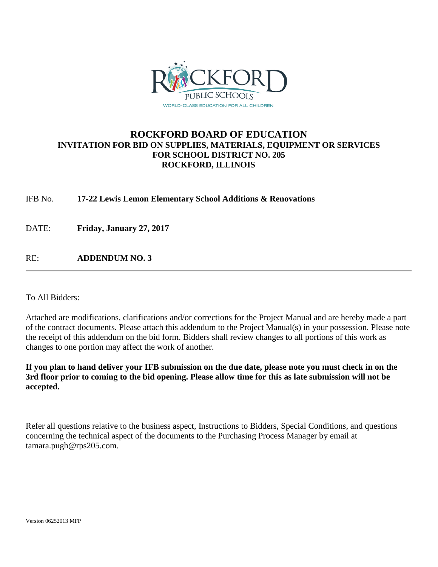

#### **ROCKFORD BOARD OF EDUCATION INVITATION FOR BID ON SUPPLIES, MATERIALS, EQUIPMENT OR SERVICES FOR SCHOOL DISTRICT NO. 205 ROCKFORD, ILLINOIS**

IFB No. **17-22 Lewis Lemon Elementary School Additions & Renovations**

DATE: **Friday, January 27, 2017**

RE: **ADDENDUM NO. 3**

To All Bidders:

Attached are modifications, clarifications and/or corrections for the Project Manual and are hereby made a part of the contract documents. Please attach this addendum to the Project Manual(s) in your possession. Please note the receipt of this addendum on the bid form. Bidders shall review changes to all portions of this work as changes to one portion may affect the work of another.

**If you plan to hand deliver your IFB submission on the due date, please note you must check in on the 3rd floor prior to coming to the bid opening. Please allow time for this as late submission will not be accepted.**

Refer all questions relative to the business aspect, Instructions to Bidders, Special Conditions, and questions concerning the technical aspect of the documents to the Purchasing Process Manager by email at tamara.pugh@rps205.com.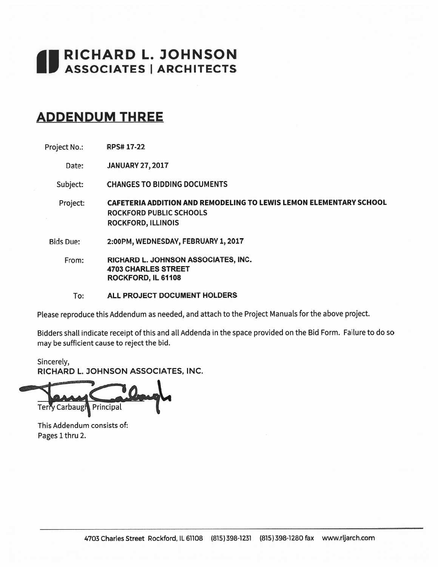# RICHARD L. JOHNSON **ASSOCIATES | ARCHITECTS**

# **ADDENDUM THREE**

Project No.: **RPS#17-22** 

> Date: **JANUARY 27, 2017**

**CHANGES TO BIDDING DOCUMENTS** Subject:

- **CAFETERIA ADDITION AND REMODELING TO LEWIS LEMON ELEMENTARY SCHOOL** Project: **ROCKFORD PUBLIC SCHOOLS ROCKFORD, ILLINOIS**
- **Bids Due:** 2:00PM, WEDNESDAY, FEBRUARY 1, 2017
	- From: RICHARD L. JOHNSON ASSOCIATES, INC. **4703 CHARLES STREET** ROCKFORD, IL 61108
		- To: ALL PROJECT DOCUMENT HOLDERS

Please reproduce this Addendum as needed, and attach to the Project Manuals for the above project.

Bidders shall indicate receipt of this and all Addenda in the space provided on the Bid Form. Failure to do so may be sufficient cause to reject the bid.

Sincerely, RICHARD L. JOHNSON ASSOCIATES, INC.

Principal Terry Carbaugh

This Addendum consists of: Pages 1 thru 2.